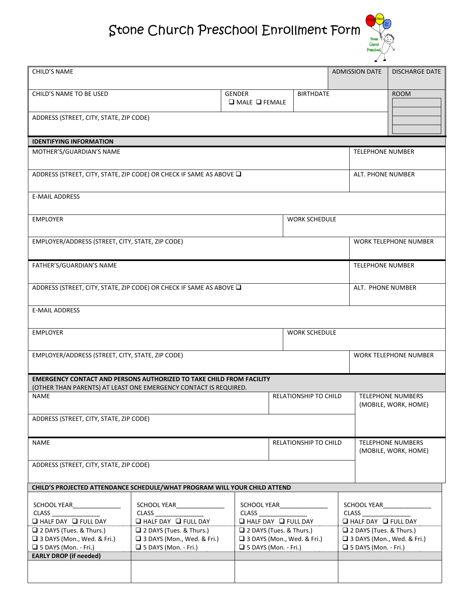## Stone Church Preschool Enrollment Form



| <b>CHILD'S NAME</b>                                                                                                                             |                                                                                                                                    |                                     |                                                                                                                    |                                                  | <b>ADMISSION DATE</b>                                                                                                 | <b>DISCHARGE DATE</b> |  |
|-------------------------------------------------------------------------------------------------------------------------------------------------|------------------------------------------------------------------------------------------------------------------------------------|-------------------------------------|--------------------------------------------------------------------------------------------------------------------|--------------------------------------------------|-----------------------------------------------------------------------------------------------------------------------|-----------------------|--|
| CHILD'S NAME TO BE USED                                                                                                                         |                                                                                                                                    | GENDER<br>$\Box$ MALE $\Box$ FEMALE | <b>BIRTHDATE</b>                                                                                                   |                                                  |                                                                                                                       | <b>ROOM</b>           |  |
| ADDRESS (STREET, CITY, STATE, ZIP CODE)                                                                                                         |                                                                                                                                    |                                     |                                                                                                                    |                                                  |                                                                                                                       |                       |  |
|                                                                                                                                                 |                                                                                                                                    |                                     |                                                                                                                    |                                                  |                                                                                                                       |                       |  |
| <b>IDENTIFYING INFORMATION</b>                                                                                                                  |                                                                                                                                    |                                     |                                                                                                                    |                                                  |                                                                                                                       |                       |  |
| MOTHER'S/GUARDIAN'S NAME                                                                                                                        |                                                                                                                                    |                                     |                                                                                                                    |                                                  | <b>TELEPHONE NUMBER</b>                                                                                               |                       |  |
| ADDRESS (STREET, CITY, STATE, ZIP CODE) OR CHECK IF SAME AS ABOVE Q                                                                             |                                                                                                                                    |                                     |                                                                                                                    |                                                  | ALT. PHONE NUMBER                                                                                                     |                       |  |
| <b>E-MAIL ADDRESS</b>                                                                                                                           |                                                                                                                                    |                                     |                                                                                                                    |                                                  |                                                                                                                       |                       |  |
|                                                                                                                                                 |                                                                                                                                    |                                     |                                                                                                                    |                                                  |                                                                                                                       |                       |  |
| <b>EMPLOYER</b><br><b>WORK SCHEDULE</b>                                                                                                         |                                                                                                                                    |                                     |                                                                                                                    |                                                  |                                                                                                                       |                       |  |
| EMPLOYER/ADDRESS (STREET, CITY, STATE, ZIP CODE)<br><b>WORK TELEPHONE NUMBER</b>                                                                |                                                                                                                                    |                                     |                                                                                                                    |                                                  |                                                                                                                       |                       |  |
| FATHER'S/GUARDIAN'S NAME                                                                                                                        |                                                                                                                                    |                                     |                                                                                                                    |                                                  | <b>TELEPHONE NUMBER</b>                                                                                               |                       |  |
| ADDRESS (STREET, CITY, STATE, ZIP CODE) OR CHECK IF SAME AS ABOVE Q                                                                             |                                                                                                                                    |                                     |                                                                                                                    |                                                  | ALT. PHONE NUMBER                                                                                                     |                       |  |
| <b>E-MAIL ADDRESS</b>                                                                                                                           |                                                                                                                                    |                                     |                                                                                                                    |                                                  |                                                                                                                       |                       |  |
| <b>WORK SCHEDULE</b><br><b>EMPLOYER</b>                                                                                                         |                                                                                                                                    |                                     |                                                                                                                    |                                                  |                                                                                                                       |                       |  |
| EMPLOYER/ADDRESS (STREET, CITY, STATE, ZIP CODE)                                                                                                |                                                                                                                                    |                                     |                                                                                                                    |                                                  | <b>WORK TELEPHONE NUMBER</b>                                                                                          |                       |  |
| <b>EMERGENCY CONTACT AND PERSONS AUTHORIZED TO TAKE CHILD FROM FACILITY</b><br>(OTHER THAN PARENTS) AT LEAST ONE EMERGENCY CONTACT IS REQUIRED. |                                                                                                                                    |                                     |                                                                                                                    |                                                  |                                                                                                                       |                       |  |
| <b>NAME</b>                                                                                                                                     | RELATIONSHIP TO CHILD                                                                                                              |                                     |                                                                                                                    | <b>TELEPHONE NUMBERS</b><br>(MOBILE, WORK, HOME) |                                                                                                                       |                       |  |
| ADDRESS (STREET, CITY, STATE, ZIP CODE)                                                                                                         |                                                                                                                                    |                                     |                                                                                                                    |                                                  |                                                                                                                       |                       |  |
| <b>NAME</b>                                                                                                                                     |                                                                                                                                    |                                     | RELATIONSHIP TO CHILD                                                                                              |                                                  | TELEPHONE NUMBERS<br>(MOBILE, WORK, HOME)                                                                             |                       |  |
| ADDRESS (STREET, CITY, STATE, ZIP CODE)                                                                                                         |                                                                                                                                    |                                     |                                                                                                                    |                                                  |                                                                                                                       |                       |  |
| CHILD'S PROJECTED ATTENDANCE SCHEDULE/WHAT PROGRAM WILL YOUR CHILD ATTEND                                                                       |                                                                                                                                    |                                     |                                                                                                                    |                                                  |                                                                                                                       |                       |  |
| CLASS<br>$\Box$ HALF DAY $\Box$ FULL DAY<br>□ 2 DAYS (Tues. & Thurs.)<br>□ 3 DAYS (Mon., Wed. & Fri.)                                           | SCHOOL YEAR SCHOOL<br><b>CLASS</b><br>$\Box$ HALF DAY $\Box$ FULL DAY<br>□ 2 DAYS (Tues. & Thurs.)<br>□ 3 DAYS (Mon., Wed. & Fri.) | CLASS                               | SCHOOL YEAR SCHOOL<br>$\Box$ HALF DAY $\Box$ FULL DAY<br>□ 2 DAYS (Tues. & Thurs.)<br>□ 3 DAYS (Mon., Wed. & Fri.) |                                                  | SCHOOL YEAR<br>CLASS_<br>$\Box$ HALF DAY $\Box$ FULL DAY<br>□ 2 DAYS (Tues. & Thurs.)<br>□ 3 DAYS (Mon., Wed. & Fri.) |                       |  |
| $\Box$ 5 DAYS (Mon. - Fri.)                                                                                                                     | $\Box$ 5 DAYS (Mon. - Fri.)                                                                                                        | $\Box$ 5 DAYS (Mon. - Fri.)         |                                                                                                                    |                                                  | $\Box$ 5 DAYS (Mon. - Fri.)                                                                                           |                       |  |
| <b>EARLY DROP (if needed)</b>                                                                                                                   |                                                                                                                                    |                                     |                                                                                                                    |                                                  |                                                                                                                       |                       |  |
|                                                                                                                                                 |                                                                                                                                    |                                     |                                                                                                                    |                                                  |                                                                                                                       |                       |  |